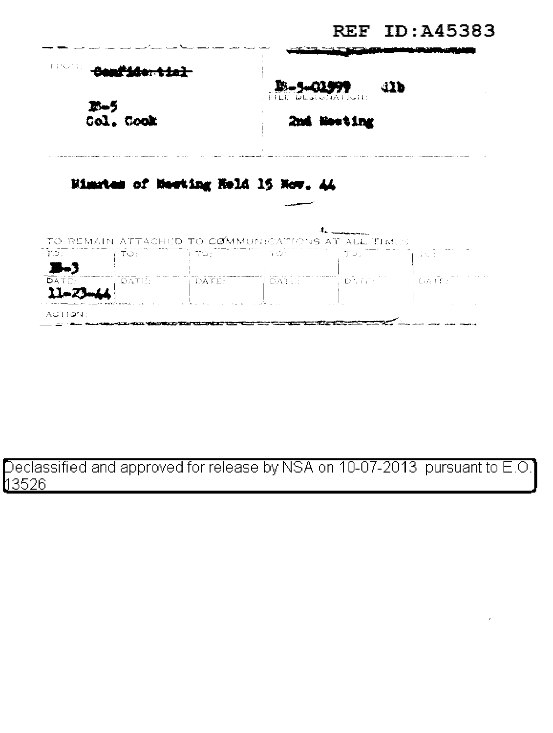|                                  |            |                                                                              |                                                   |      | <b>REF ID: A45383</b>                              |
|----------------------------------|------------|------------------------------------------------------------------------------|---------------------------------------------------|------|----------------------------------------------------|
| 手についない。<br>$25 - 5$<br>Col. Cook |            |                                                                              | <b>取-5-</b>                                       | 41Þ  |                                                    |
|                                  |            |                                                                              | FILE DESIGNATION:<br>2nd Neeting                  |      |                                                    |
|                                  |            |                                                                              | Mimstem of Mesting Held 15 Now, 44                |      |                                                    |
|                                  |            |                                                                              | TO REMAIN ATTACHED TO COMMUNICATIONS AT ALL TIMES |      |                                                    |
| ಾಂ -                             | <b>TO:</b> | <del>man m</del> into <del>m</del>                                           | te termin yayının                                 | ె⊤ు∷ | - Dund                                             |
| <b>DATE:</b>                     | FDATIË L   | المتساقية والمستحدث والمستحدث والمتناوب والمتحارث والمتحال والمتحدث والمتحدث | ון זיה אם היידודי ודי שלאם ("דיידי דם לאתר ודי ד  |      | s bailer<br>the control of the control of the con- |

ACTION:

## Declassified and approved for release by NSA on 10-07-2013 pursuant to E.O.<br>13526 \_\_\_\_\_\_\_\_\_\_\_\_\_\_\_\_

**BERNETTEN** 

 $\sim$   $\sim$   $\sim$   $\sim$   $\sim$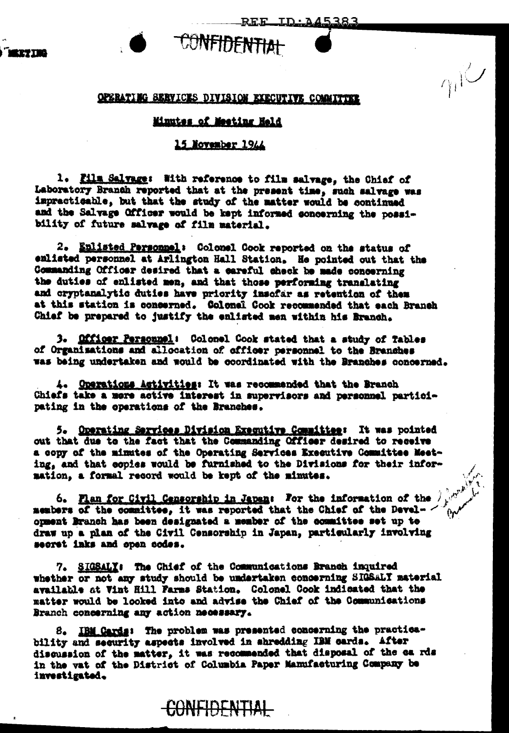## OPERATING SERVICES DIVISION EXECUTIVE COMMITTEE

**CONFIDENTIAL** 

<u>REE ID:A45383</u>

 $\eta_1$ 

## Minutes of Meeting Held

## 15 November 1944

1. Film Salvage: With reference to film salvage, the Chief of Laboratory Branch reported that at the present time, such salvage was impracticable, but that the study of the matter would be continued and the Salvage Officer would be kept informed concerning the possibility of future salvage of film material.

2. Enlisted Personnel: Colonel Cook reported on the status of enlisted personnel at Arlington Hall Station. He pointed out that the Commanding Officer desired that a careful check be made concerning the duties of enlisted men, and that those performing translating and cryptanalytic duties have priority inscfar as retention of them at this station is concerned. Colonal Cook recommended that each Branch Chief be prepared to justify the enlisted men within his Branch.

3. Officer Personnel: Colonel Cook stated that a study of Tables of Organisations and allocation of officer personnel to the Branches was being undertaken and would be coordinated with the Branches concerned.

4. Operations Activities: It was recommended that the Branch Chiefs take a more active interest in supervisors and personnel participating in the operations of the Branches.

5. Operating Services Division Executive Committee: It was pointed out that due to the fact that the Commanding Officer desired to receive a copy of the minutes of the Operating Services Executive Committee Meeting, and that copies would be furnished to the Divisions for their information, a formal record would be kept of the minutes.

6. Plan for Civil Censorship in Japan: For the information of the  $\hat{J}$ members of the committee, it was reported that the Chief of the Develorment Branch has been designated a member of the committee set up to draw up a plan of the Civil Censorship in Japan, particularly involving secret inks and open codes.

7. SIGSALY: The Chief of the Communications Branch inquired whether or not any study should be undertaken concerning SIGSALY material available at Vint Hill Farms Station. Colonel Cook indicated that the matter would be looked into and advise the Chief of the Communications Branch concerning any action necessary.

8. IBM Cards: The problem was presented concerning the practicability and security aspects involved in shredding IBM cards. After discussion of the matter, it was recommended that disposal of the ca rds in the vat of the District of Columbia Paper Manufacturing Company be investigated.

CONFIDENTIAL